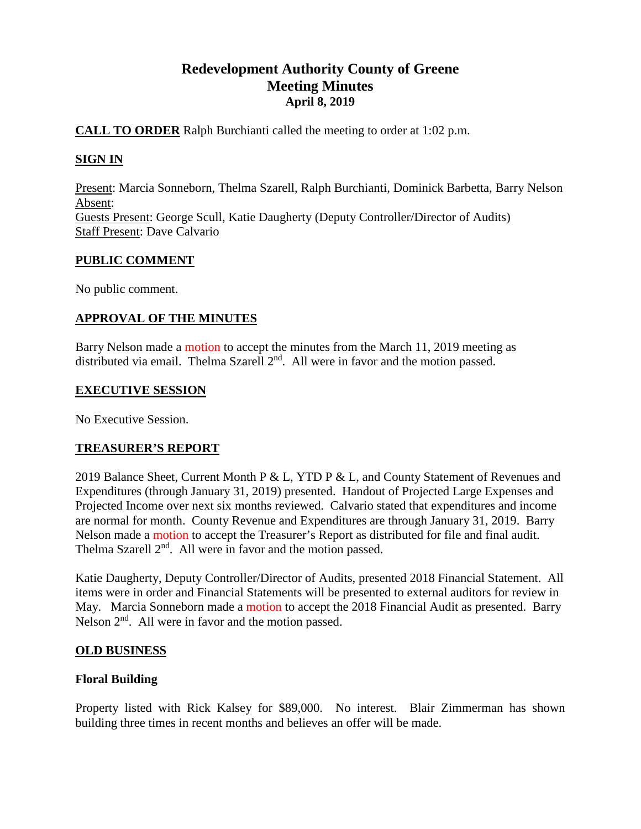# **Redevelopment Authority County of Greene Meeting Minutes April 8, 2019**

### **CALL TO ORDER** Ralph Burchianti called the meeting to order at 1:02 p.m.

# **SIGN IN**

Present: Marcia Sonneborn, Thelma Szarell, Ralph Burchianti, Dominick Barbetta, Barry Nelson Absent: Guests Present: George Scull, Katie Daugherty (Deputy Controller/Director of Audits) Staff Present: Dave Calvario

### **PUBLIC COMMENT**

No public comment.

# **APPROVAL OF THE MINUTES**

Barry Nelson made a motion to accept the minutes from the March 11, 2019 meeting as distributed via email. Thelma Szarell  $2<sup>nd</sup>$ . All were in favor and the motion passed.

#### **EXECUTIVE SESSION**

No Executive Session.

# **TREASURER'S REPORT**

2019 Balance Sheet, Current Month P & L, YTD P & L, and County Statement of Revenues and Expenditures (through January 31, 2019) presented. Handout of Projected Large Expenses and Projected Income over next six months reviewed. Calvario stated that expenditures and income are normal for month. County Revenue and Expenditures are through January 31, 2019. Barry Nelson made a motion to accept the Treasurer's Report as distributed for file and final audit. Thelma Szarell 2<sup>nd</sup>. All were in favor and the motion passed.

Katie Daugherty, Deputy Controller/Director of Audits, presented 2018 Financial Statement. All items were in order and Financial Statements will be presented to external auditors for review in May. Marcia Sonneborn made a motion to accept the 2018 Financial Audit as presented. Barry Nelson  $2<sup>nd</sup>$ . All were in favor and the motion passed.

# **OLD BUSINESS**

# **Floral Building**

Property listed with Rick Kalsey for \$89,000. No interest. Blair Zimmerman has shown building three times in recent months and believes an offer will be made.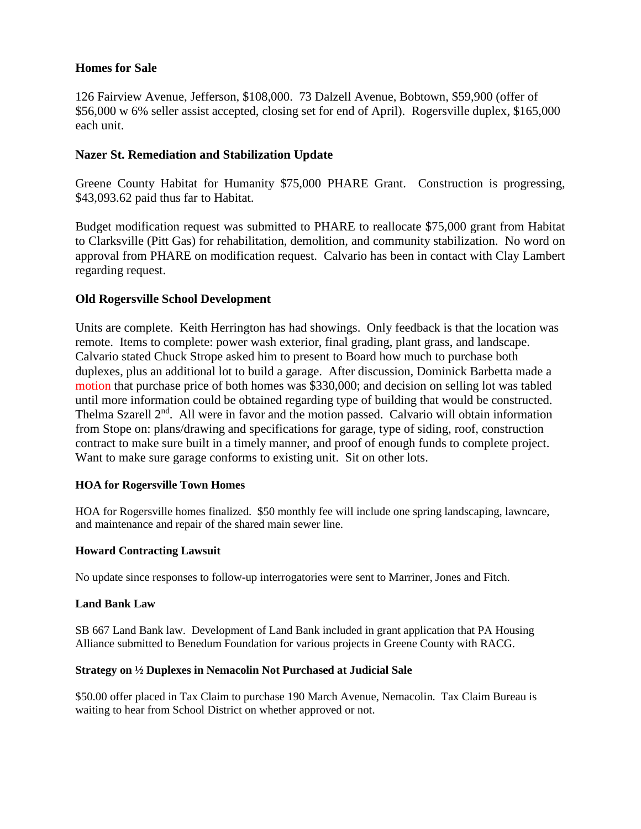#### **Homes for Sale**

126 Fairview Avenue, Jefferson, \$108,000. 73 Dalzell Avenue, Bobtown, \$59,900 (offer of \$56,000 w 6% seller assist accepted, closing set for end of April). Rogersville duplex, \$165,000 each unit.

### **Nazer St. Remediation and Stabilization Update**

Greene County Habitat for Humanity \$75,000 PHARE Grant. Construction is progressing, \$43,093.62 paid thus far to Habitat.

Budget modification request was submitted to PHARE to reallocate \$75,000 grant from Habitat to Clarksville (Pitt Gas) for rehabilitation, demolition, and community stabilization. No word on approval from PHARE on modification request. Calvario has been in contact with Clay Lambert regarding request.

### **Old Rogersville School Development**

Units are complete. Keith Herrington has had showings. Only feedback is that the location was remote. Items to complete: power wash exterior, final grading, plant grass, and landscape. Calvario stated Chuck Strope asked him to present to Board how much to purchase both duplexes, plus an additional lot to build a garage. After discussion, Dominick Barbetta made a motion that purchase price of both homes was \$330,000; and decision on selling lot was tabled until more information could be obtained regarding type of building that would be constructed. Thelma Szarell 2<sup>nd</sup>. All were in favor and the motion passed. Calvario will obtain information from Stope on: plans/drawing and specifications for garage, type of siding, roof, construction contract to make sure built in a timely manner, and proof of enough funds to complete project. Want to make sure garage conforms to existing unit. Sit on other lots.

#### **HOA for Rogersville Town Homes**

HOA for Rogersville homes finalized. \$50 monthly fee will include one spring landscaping, lawncare, and maintenance and repair of the shared main sewer line.

#### **Howard Contracting Lawsuit**

No update since responses to follow-up interrogatories were sent to Marriner, Jones and Fitch.

#### **Land Bank Law**

SB 667 Land Bank law. Development of Land Bank included in grant application that PA Housing Alliance submitted to Benedum Foundation for various projects in Greene County with RACG.

#### **Strategy on ½ Duplexes in Nemacolin Not Purchased at Judicial Sale**

\$50.00 offer placed in Tax Claim to purchase 190 March Avenue, Nemacolin. Tax Claim Bureau is waiting to hear from School District on whether approved or not.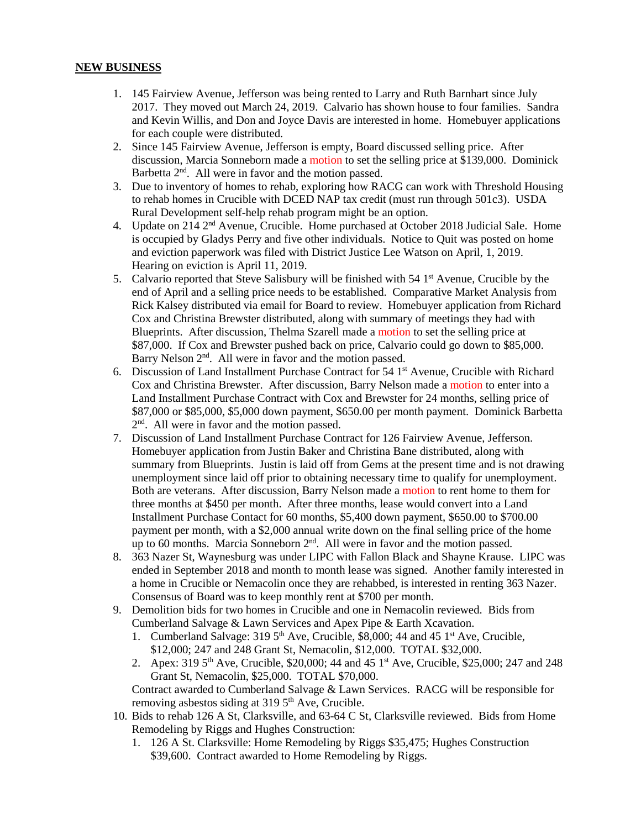#### **NEW BUSINESS**

- 1. 145 Fairview Avenue, Jefferson was being rented to Larry and Ruth Barnhart since July 2017. They moved out March 24, 2019. Calvario has shown house to four families. Sandra and Kevin Willis, and Don and Joyce Davis are interested in home. Homebuyer applications for each couple were distributed.
- 2. Since 145 Fairview Avenue, Jefferson is empty, Board discussed selling price. After discussion, Marcia Sonneborn made a motion to set the selling price at \$139,000. Dominick Barbetta  $2<sup>nd</sup>$ . All were in favor and the motion passed.
- 3. Due to inventory of homes to rehab, exploring how RACG can work with Threshold Housing to rehab homes in Crucible with DCED NAP tax credit (must run through 501c3). USDA Rural Development self-help rehab program might be an option.
- 4. Update on 214 2nd Avenue, Crucible. Home purchased at October 2018 Judicial Sale. Home is occupied by Gladys Perry and five other individuals. Notice to Quit was posted on home and eviction paperwork was filed with District Justice Lee Watson on April, 1, 2019. Hearing on eviction is April 11, 2019.
- 5. Calvario reported that Steve Salisbury will be finished with  $54 \text{ 1st}$  Avenue, Crucible by the end of April and a selling price needs to be established. Comparative Market Analysis from Rick Kalsey distributed via email for Board to review. Homebuyer application from Richard Cox and Christina Brewster distributed, along with summary of meetings they had with Blueprints. After discussion, Thelma Szarell made a motion to set the selling price at \$87,000. If Cox and Brewster pushed back on price, Calvario could go down to \$85,000. Barry Nelson 2<sup>nd</sup>. All were in favor and the motion passed.
- 6. Discussion of Land Installment Purchase Contract for  $54 \, \text{1st}$  Avenue, Crucible with Richard Cox and Christina Brewster. After discussion, Barry Nelson made a motion to enter into a Land Installment Purchase Contract with Cox and Brewster for 24 months, selling price of \$87,000 or \$85,000, \$5,000 down payment, \$650.00 per month payment. Dominick Barbetta 2nd. All were in favor and the motion passed.
- 7. Discussion of Land Installment Purchase Contract for 126 Fairview Avenue, Jefferson. Homebuyer application from Justin Baker and Christina Bane distributed, along with summary from Blueprints. Justin is laid off from Gems at the present time and is not drawing unemployment since laid off prior to obtaining necessary time to qualify for unemployment. Both are veterans. After discussion, Barry Nelson made a motion to rent home to them for three months at \$450 per month. After three months, lease would convert into a Land Installment Purchase Contact for 60 months, \$5,400 down payment, \$650.00 to \$700.00 payment per month, with a \$2,000 annual write down on the final selling price of the home up to 60 months. Marcia Sonneborn  $2<sup>nd</sup>$ . All were in favor and the motion passed.
- 8. 363 Nazer St, Waynesburg was under LIPC with Fallon Black and Shayne Krause. LIPC was ended in September 2018 and month to month lease was signed. Another family interested in a home in Crucible or Nemacolin once they are rehabbed, is interested in renting 363 Nazer. Consensus of Board was to keep monthly rent at \$700 per month.
- 9. Demolition bids for two homes in Crucible and one in Nemacolin reviewed. Bids from Cumberland Salvage & Lawn Services and Apex Pipe & Earth Xcavation.
	- 1. Cumberland Salvage:  $3195<sup>th</sup>$  Ave, Crucible, \$8,000; 44 and 45 1<sup>st</sup> Ave, Crucible, \$12,000; 247 and 248 Grant St, Nemacolin, \$12,000. TOTAL \$32,000.
	- 2. Apex: 319 5<sup>th</sup> Ave, Crucible, \$20,000; 44 and 45 1<sup>st</sup> Ave, Crucible, \$25,000; 247 and 248 Grant St, Nemacolin, \$25,000. TOTAL \$70,000.

Contract awarded to Cumberland Salvage & Lawn Services. RACG will be responsible for removing asbestos siding at  $319\,5^{th}$  Ave, Crucible.

- 10. Bids to rehab 126 A St, Clarksville, and 63-64 C St, Clarksville reviewed. Bids from Home Remodeling by Riggs and Hughes Construction:
	- 1. 126 A St. Clarksville: Home Remodeling by Riggs \$35,475; Hughes Construction \$39,600. Contract awarded to Home Remodeling by Riggs.